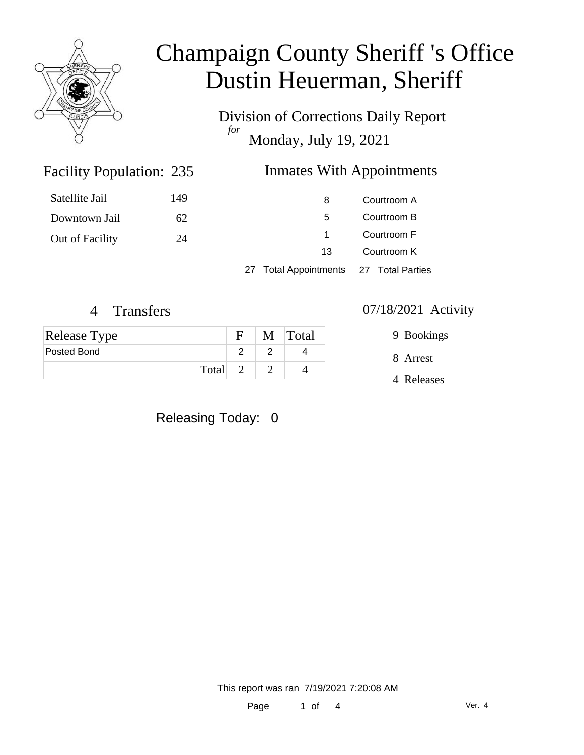

Division of Corrections Daily Report *for* Monday, July 19, 2021

### Inmates With Appointments

| Satellite Jail  | 149 | 8                                      | Courtroom A |  |
|-----------------|-----|----------------------------------------|-------------|--|
| Downtown Jail   | 62  | 5                                      | Courtroom B |  |
| Out of Facility | 24  |                                        | Courtroom F |  |
|                 |     | 13                                     | Courtroom K |  |
|                 |     | 27 Total Appointments 27 Total Parties |             |  |

Facility Population: 235

| Release Type |         | $\mathbf{F}$ | M Total |
|--------------|---------|--------------|---------|
| Posted Bond  |         |              |         |
|              | Total 2 |              |         |

### Releasing Today: 0

### 4 Transfers 07/18/2021 Activity

9 Bookings

8 Arrest

4 Releases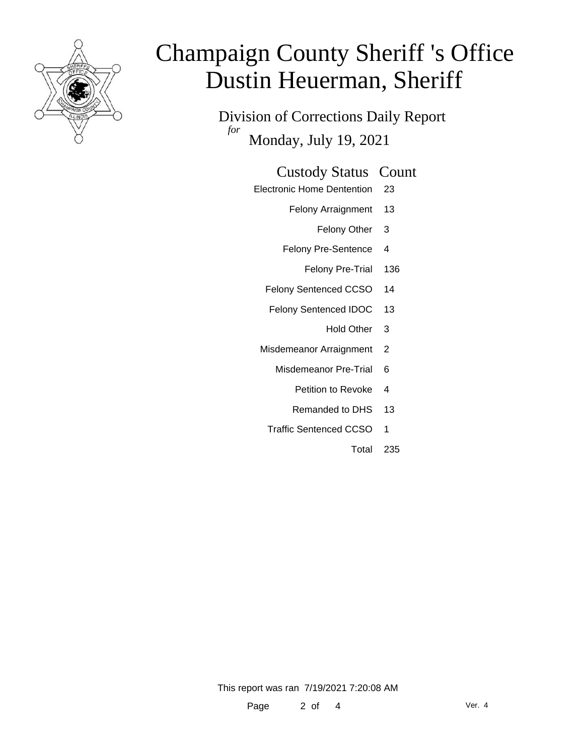

Division of Corrections Daily Report *for* Monday, July 19, 2021

### Custody Status Count

- Electronic Home Dentention 23
	- Felony Arraignment 13
		- Felony Other 3
	- Felony Pre-Sentence 4
		- Felony Pre-Trial 136
	- Felony Sentenced CCSO 14
	- Felony Sentenced IDOC 13
		- Hold Other 3
	- Misdemeanor Arraignment 2
		- Misdemeanor Pre-Trial 6
			- Petition to Revoke 4
			- Remanded to DHS 13
		- Traffic Sentenced CCSO 1
			- Total 235

This report was ran 7/19/2021 7:20:08 AM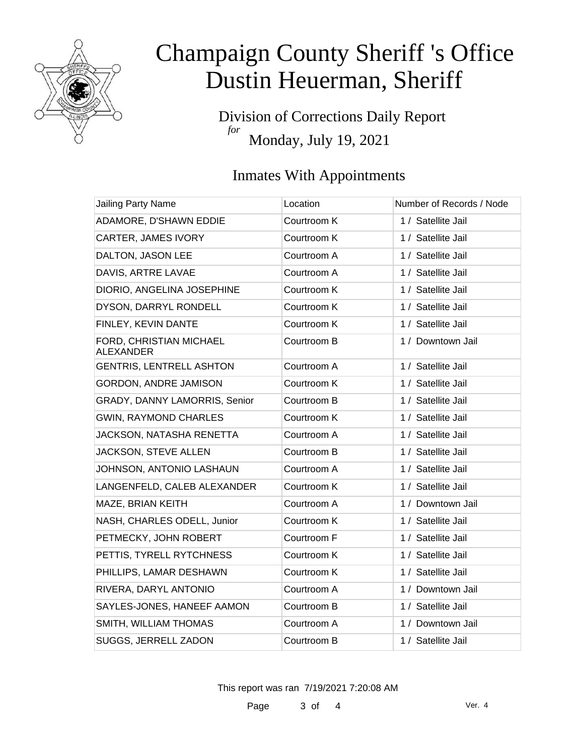

Division of Corrections Daily Report *for* Monday, July 19, 2021

### Inmates With Appointments

| Jailing Party Name                          | Location    | Number of Records / Node |
|---------------------------------------------|-------------|--------------------------|
| ADAMORE, D'SHAWN EDDIE                      | Courtroom K | 1 / Satellite Jail       |
| CARTER, JAMES IVORY                         | Courtroom K | 1 / Satellite Jail       |
| DALTON, JASON LEE                           | Courtroom A | 1 / Satellite Jail       |
| DAVIS, ARTRE LAVAE                          | Courtroom A | 1 / Satellite Jail       |
| DIORIO, ANGELINA JOSEPHINE                  | Courtroom K | 1 / Satellite Jail       |
| DYSON, DARRYL RONDELL                       | Courtroom K | 1 / Satellite Jail       |
| FINLEY, KEVIN DANTE                         | Courtroom K | 1 / Satellite Jail       |
| FORD, CHRISTIAN MICHAEL<br><b>ALEXANDER</b> | Courtroom B | 1 / Downtown Jail        |
| <b>GENTRIS, LENTRELL ASHTON</b>             | Courtroom A | 1 / Satellite Jail       |
| <b>GORDON, ANDRE JAMISON</b>                | Courtroom K | 1 / Satellite Jail       |
| GRADY, DANNY LAMORRIS, Senior               | Courtroom B | 1 / Satellite Jail       |
| <b>GWIN, RAYMOND CHARLES</b>                | Courtroom K | 1 / Satellite Jail       |
| JACKSON, NATASHA RENETTA                    | Courtroom A | 1 / Satellite Jail       |
| JACKSON, STEVE ALLEN                        | Courtroom B | 1 / Satellite Jail       |
| JOHNSON, ANTONIO LASHAUN                    | Courtroom A | 1 / Satellite Jail       |
| LANGENFELD, CALEB ALEXANDER                 | Courtroom K | 1 / Satellite Jail       |
| MAZE, BRIAN KEITH                           | Courtroom A | 1 / Downtown Jail        |
| NASH, CHARLES ODELL, Junior                 | Courtroom K | 1 / Satellite Jail       |
| PETMECKY, JOHN ROBERT                       | Courtroom F | 1 / Satellite Jail       |
| PETTIS, TYRELL RYTCHNESS                    | Courtroom K | 1 / Satellite Jail       |
| PHILLIPS, LAMAR DESHAWN                     | Courtroom K | 1 / Satellite Jail       |
| RIVERA, DARYL ANTONIO                       | Courtroom A | 1 / Downtown Jail        |
| SAYLES-JONES, HANEEF AAMON                  | Courtroom B | 1 / Satellite Jail       |
| SMITH, WILLIAM THOMAS                       | Courtroom A | 1 / Downtown Jail        |
| SUGGS, JERRELL ZADON                        | Courtroom B | 1 / Satellite Jail       |

This report was ran 7/19/2021 7:20:08 AM